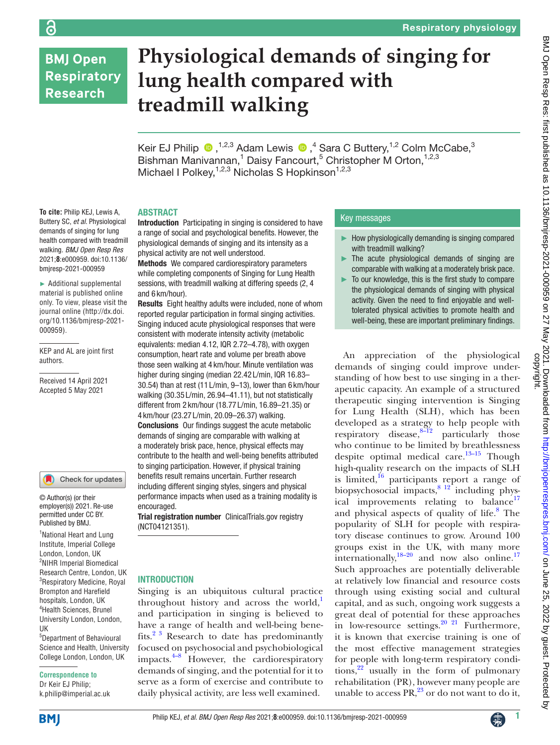# **BMJ Open Respiratory Research**

**To cite:** Philip KEJ, Lewis A, Buttery SC, *et al*. Physiological demands of singing for lung health compared with treadmill walking. *BMJ Open Resp Res* 2021;**8**:e000959. doi:10.1136/ bmjresp-2021-000959 ► Additional supplemental material is published online only. To view, please visit the journal online (http://dx.doi. org/10.1136/bmjresp-2021-

000959).

authors.

KEP and AL are joint first

Received 14 April 2021 Accepted 5 May 2021

<sup>1</sup> National Heart and Lung Institute, Imperial College London, London, UK <sup>2</sup>NIHR Imperial Biomedical Research Centre, London, UK 3 Respiratory Medicine, Royal Brompton and Harefield hospitals, London, UK 4 Health Sciences, Brunel University London, London,

Check for updates

© Author(s) (or their employer(s)) 2021. Re-use permitted under CC BY. Published by BMJ.

5 Department of Behavioural Science and Health, University College London, London, UK

**Correspondence to** Dr Keir EJ Philip; k.philip@imperial.ac.uk

# **Physiological demands of singing for lung health compared with treadmill walking**

Keir EJ Philip  $\bigcirc$ , <sup>1,2,3</sup> Adam Lewis  $\bigcirc$ , <sup>4</sup> Sara C Buttery, <sup>1,2</sup> Colm McCabe, <sup>3</sup> Bishman Manivannan,<sup>1</sup> Daisy Fancourt,<sup>5</sup> Christopher M Orton,<sup>1,2,3</sup> Michael I Polkey,  $1,2,3$  Nicholas S Hopkinson<sup> $1,2,3$ </sup>

#### ABSTRACT

Introduction Participating in singing is considered to have a range of social and psychological benefits. However, the physiological demands of singing and its intensity as a physical activity are not well understood.

Methods We compared cardiorespiratory parameters while completing components of Singing for Lung Health sessions, with treadmill walking at differing speeds (2, 4 and 6 km/hour).

Results Eight healthy adults were included, none of whom reported regular participation in formal singing activities. Singing induced acute physiological responses that were consistent with moderate intensity activity (metabolic equivalents: median 4.12, IQR 2.72–4.78), with oxygen consumption, heart rate and volume per breath above those seen walking at 4 km/hour. Minute ventilation was higher during singing (median 22.42 L/min, IQR 16.83– 30.54) than at rest (11 L/min, 9–13), lower than 6 km/hour walking (30.35 L/min, 26.94–41.11), but not statistically different from 2 km/hour (18.77 L/min, 16.89–21.35) or 4 km/hour (23.27 L/min, 20.09–26.37) walking. Conclusions Our findings suggest the acute metabolic demands of singing are comparable with walking at a moderately brisk pace, hence, physical effects may contribute to the health and well-being benefits attributed to singing participation. However, if physical training benefits result remains uncertain. Further research including different singing styles, singers and physical performance impacts when used as a training modality is encouraged.

Trial registration number ClinicalTrials.gov registry (<NCT04121351>).

### INTRODUCTION

Singing is an ubiquitous cultural practice throughout history and across the world, $\frac{1}{2}$ and participation in singing is believed to have a range of health and well-being benefits.<sup>2 3</sup> Research to date has predominantly focused on psychosocial and psychobiological impacts. $4-8$  However, the cardiorespiratory demands of singing, and the potential for it to serve as a form of exercise and contribute to daily physical activity, are less well examined.

## Key messages

- How physiologically demanding is singing compared with treadmill walking?
- $\blacktriangleright$  The acute physiological demands of singing are comparable with walking at a moderately brisk pace.
- To our knowledge, this is the first study to compare the physiological demands of singing with physical activity. Given the need to find enjoyable and welltolerated physical activities to promote health and well-being, these are important preliminary findings.

An appreciation of the physiological demands of singing could improve understanding of how best to use singing in a therapeutic capacity. An example of a structured therapeutic singing intervention is Singing for Lung Health (SLH), which has been developed as a strategy to help people with respiratory disease, $8-\frac{12}{2}$  particularly those who continue to be limited by breathlessness despite optimal medical care.<sup>13–15</sup> Though high-quality research on the impacts of SLH is limited, $16$  participants report a range of biopsychosocial impacts, <sup>8 12</sup> including physical improvements relating to balance<sup>17</sup> and physical aspects of quality of life.<sup>[8](#page-6-3)</sup> The popularity of SLH for people with respiratory disease continues to grow. Around 100 groups exist in the UK, with many more internationally,  $18-20$  and now also online.<sup>17</sup> Such approaches are potentially deliverable at relatively low financial and resource costs through using existing social and cultural capital, and as such, ongoing work suggests a great deal of potential for these approaches in low-resource settings.<sup>[20 21](#page-6-8)</sup> Furthermore, it is known that exercise training is one of the most effective management strategies for people with long-term respiratory conditions, $2^2$  usually in the form of pulmonary rehabilitation (PR), however many people are unable to access  $PR<sub>1</sub><sup>23</sup>$  or do not want to do it,

UK

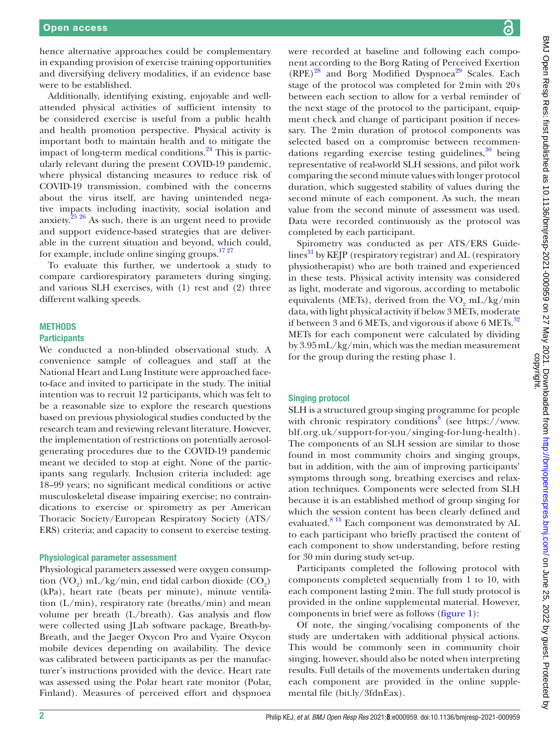hence alternative approaches could be complementary in expanding provision of exercise training opportunities and diversifying delivery modalities, if an evidence base were to be established.

Additionally, identifying existing, enjoyable and wellattended physical activities of sufficient intensity to be considered exercise is useful from a public health and health promotion perspective. Physical activity is important both to maintain health and to mitigate the impact of long-term medical conditions. $^{24}$  This is particularly relevant during the present COVID-19 pandemic, where physical distancing measures to reduce risk of COVID-19 transmission, combined with the concerns about the virus itself, are having unintended negative impacts including inactivity, social isolation and anxiety. $^{25\,26}$  As such, there is an urgent need to provide and support evidence-based strategies that are deliverable in the current situation and beyond, which could, for example, include online singing groups.<sup>1727</sup>

To evaluate this further, we undertook a study to compare cardiorespiratory parameters during singing, and various SLH exercises, with (1) rest and (2) three different walking speeds.

## **METHODS**

#### **Participants**

We conducted a non-blinded observational study. A convenience sample of colleagues and staff at the National Heart and Lung Institute were approached faceto-face and invited to participate in the study. The initial intention was to recruit 12 participants, which was felt to be a reasonable size to explore the research questions based on previous physiological studies conducted by the research team and reviewing relevant literature. However, the implementation of restrictions on potentially aerosolgenerating procedures due to the COVID-19 pandemic meant we decided to stop at eight. None of the participants sang regularly. Inclusion criteria included: age 18–99 years; no significant medical conditions or active musculoskeletal disease impairing exercise; no contraindications to exercise or spirometry as per American Thoracic Society/European Respiratory Society (ATS/ ERS) criteria; and capacity to consent to exercise testing.

#### Physiological parameter assessment

Physiological parameters assessed were oxygen consumption  $(VO_2)$  mL/kg/min, end tidal carbon dioxide  $(CO_2)$ (kPa), heart rate (beats per minute), minute ventilation (L/min), respiratory rate (breaths/min) and mean volume per breath (L/breath). Gas analysis and flow were collected using JLab software package, Breath-by-Breath, and the Jaeger Oxycon Pro and Vyaire Oxycon mobile devices depending on availability. The device was calibrated between participants as per the manufacturer's instructions provided with the device. Heart rate was assessed using the Polar heart rate monitor (Polar, Finland). Measures of perceived effort and dyspnoea

were recorded at baseline and following each component according to the Borg Rating of Perceived Exertion  $(RPE)^{28}$  and Borg Modified Dyspnoea<sup>[29](#page-6-14)</sup> Scales. Each stage of the protocol was completed for 2min with 20s between each section to allow for a verbal reminder of the next stage of the protocol to the participant, equipment check and change of participant position if necessary. The 2min duration of protocol components was selected based on a compromise between recommendations regarding exercise testing guidelines, $30$  being representative of real-world SLH sessions, and pilot work comparing the second minute values with longer protocol duration, which suggested stability of values during the second minute of each component. As such, the mean value from the second minute of assessment was used. Data were recorded continuously as the protocol was completed by each participant.

Spirometry was conducted as per ATS/ERS Guide- $\limes^{31}$  by KEJP (respiratory registrar) and AL (respiratory physiotherapist) who are both trained and experienced in these tests. Physical activity intensity was considered as light, moderate and vigorous, according to metabolic equivalents (METs), derived from the  $\rm VO_{2}$  mL/kg/min data, with light physical activity if below 3 METs, moderate if between 3 and 6 METs, and vigorous if above 6 METs.<sup>32</sup> METs for each component were calculated by dividing by 3.95mL/kg/min, which was the median measurement for the group during the resting phase 1.

#### Singing protocol

SLH is a structured group singing programme for people with chronic respiratory conditions<sup>[8](#page-6-3)</sup> (see [https://www.](https://www.blf.org.uk/support-for-you/singing-for-lung-health) [blf.org.uk/support-for-you/singing-for-lung-health](https://www.blf.org.uk/support-for-you/singing-for-lung-health)). The components of an SLH session are similar to those found in most community choirs and singing groups, but in addition, with the aim of improving participants' symptoms through song, breathing exercises and relaxation techniques. Components were selected from SLH because it is an established method of group singing for which the session content has been clearly defined and evaluated.<sup>[8 11](#page-6-3)</sup> Each component was demonstrated by AL to each participant who briefly practised the content of each component to show understanding, before resting for 30 min during study set-up.

Participants completed the following protocol with components completed sequentially from 1 to 10, with each component lasting 2min. The full study protocol is provided in the [online supplemental material](https://dx.doi.org/10.1136/bmjresp-2021-000959). However, components in brief were as follows [\(figure](#page-2-0) 1):

Of note, the singing/vocalising components of the study are undertaken with additional physical actions. This would be commonly seen in community choir singing, however, should also be noted when interpreting results. Full details of the movements undertaken during each component are provided in the [online supple](https://dx.doi.org/10.1136/bmjresp-2021-000959)[mental file](https://dx.doi.org/10.1136/bmjresp-2021-000959) (bit.ly/3fdnEax).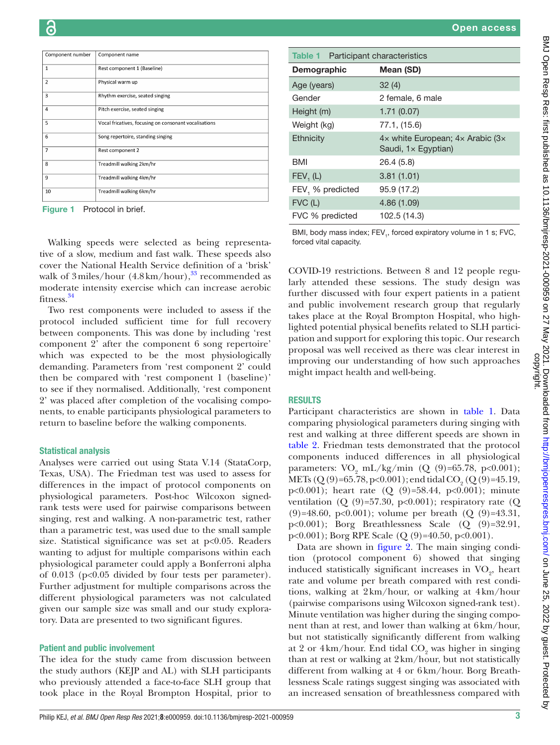| . .<br>P. |  |
|-----------|--|
|           |  |

| Component number | Component name                                        |
|------------------|-------------------------------------------------------|
| $\mathbf{1}$     | Rest component 1 (Baseline)                           |
| $\overline{2}$   | Physical warm up                                      |
| 3                | Rhythm exercise, seated singing                       |
| $\overline{4}$   | Pitch exercise, seated singing                        |
| 5                | Vocal fricatives, focusing on consonant vocalisations |
| 6                | Song repertoire, standing singing                     |
| $\overline{7}$   | Rest component 2                                      |
| 8                | Treadmill walking 2km/hr                              |
| 9                | Treadmill walking 4km/hr                              |
| 10               | Treadmill walking 6km/hr                              |

<span id="page-2-0"></span>Figure 1 Protocol in brief.

Walking speeds were selected as being representative of a slow, medium and fast walk. These speeds also cover the National Health Service definition of a 'brisk' walk of 3 miles/hour  $(4.8 \text{ km/hour})$ ,<sup>33</sup> recommended as moderate intensity exercise which can increase aerobic fitness[.34](#page-6-19)

Two rest components were included to assess if the protocol included sufficient time for full recovery between components. This was done by including 'rest component 2' after the component 6 song repertoire' which was expected to be the most physiologically demanding. Parameters from 'rest component 2' could then be compared with 'rest component 1 (baseline)' to see if they normalised. Additionally, 'rest component 2' was placed after completion of the vocalising components, to enable participants physiological parameters to return to baseline before the walking components.

#### Statistical analysis

Analyses were carried out using Stata V.14 (StataCorp, Texas, USA). The Friedman test was used to assess for differences in the impact of protocol components on physiological parameters. Post-hoc Wilcoxon signedrank tests were used for pairwise comparisons between singing, rest and walking. A non-parametric test, rather than a parametric test, was used due to the small sample size. Statistical significance was set at p<0.05. Readers wanting to adjust for multiple comparisons within each physiological parameter could apply a Bonferroni alpha of 0.013 (p<0.05 divided by four tests per parameter). Further adjustment for multiple comparisons across the different physiological parameters was not calculated given our sample size was small and our study exploratory. Data are presented to two significant figures.

#### Patient and public involvement

The idea for the study came from discussion between the study authors (KEJP and AL) with SLH participants who previously attended a face-to-face SLH group that took place in the Royal Brompton Hospital, prior to

<span id="page-2-1"></span>

| <b>Table 1</b> Participant characteristics |                                                                      |
|--------------------------------------------|----------------------------------------------------------------------|
| Demographic                                | Mean (SD)                                                            |
| Age (years)                                | 32(4)                                                                |
| Gender                                     | 2 female, 6 male                                                     |
| Height (m)                                 | 1.71(0.07)                                                           |
| Weight (kg)                                | 77.1, (15.6)                                                         |
| Ethnicity                                  | $4x$ white European; $4x$ Arabic (3x)<br>Saudi, $1 \times$ Egyptian) |
| <b>BMI</b>                                 | 26.4(5.8)                                                            |
| FEV, (L)                                   | 3.81(1.01)                                                           |
| FEV <sub>1</sub> % predicted               | 95.9 (17.2)                                                          |
| $FVC$ (L)                                  | 4.86(1.09)                                                           |
| FVC % predicted                            | 102.5 (14.3)                                                         |

BMI, body mass index; FEV<sub>1</sub>, forced expiratory volume in 1 s; FVC, forced vital capacity.

COVID-19 restrictions. Between 8 and 12 people regularly attended these sessions. The study design was further discussed with four expert patients in a patient and public involvement research group that regularly takes place at the Royal Brompton Hospital, who highlighted potential physical benefits related to SLH participation and support for exploring this topic. Our research proposal was well received as there was clear interest in improving our understanding of how such approaches might impact health and well-being.

#### RESULTS

Participant characteristics are shown in [table](#page-2-1) 1. Data comparing physiological parameters during singing with rest and walking at three different speeds are shown in [table](#page-3-0) 2. Friedman tests demonstrated that the protocol components induced differences in all physiological parameters:  $VO<sub>2</sub> mL/kg/min (Q (9)=65.78, p<0.001);$ METs (Q (9)=65.78, p<0.001); end tidal CO<sub>2</sub> (Q (9)=45.19, p<0.001); heart rate (Q (9)=58.44, p<0.001); minute ventilation  $(Q (9)=57.30, p<0.001)$ ; respiratory rate  $(Q$  $(9) = 48.60$ ,  $p < 0.001$ ; volume per breath  $(Q (9) = 43.31)$ , p<0.001); Borg Breathlessness Scale (Q (9)=32.91,  $p<0.001$ ); Borg RPE Scale (Q (9)=40.50,  $p<0.001$ ).

Data are shown in [figure](#page-4-0) 2. The main singing condition (protocol component 6) showed that singing induced statistically significant increases in  $VO_2$ , heart rate and volume per breath compared with rest conditions, walking at 2km/hour, or walking at 4km/hour (pairwise comparisons using Wilcoxon signed-rank test). Minute ventilation was higher during the singing component than at rest, and lower than walking at 6km/hour, but not statistically significantly different from walking at 2 or 4km/hour. End tidal $\mathrm{CO}_2$  was higher in singing than at rest or walking at 2km/hour, but not statistically different from walking at 4 or 6km/hour. Borg Breathlessness Scale ratings suggest singing was associated with an increased sensation of breathlessness compared with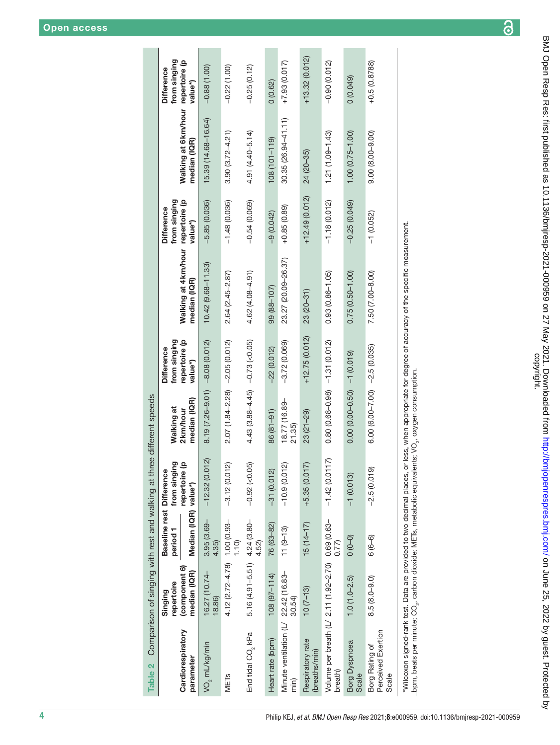| Table 2 Comparison of singing with rest and walking at three different speeds                                                                                                                                                  |                                                        |                                                                         |                                     |                                        |                                                               |                                                                                                                                                    |                                                               |                                                    |                                              |
|--------------------------------------------------------------------------------------------------------------------------------------------------------------------------------------------------------------------------------|--------------------------------------------------------|-------------------------------------------------------------------------|-------------------------------------|----------------------------------------|---------------------------------------------------------------|----------------------------------------------------------------------------------------------------------------------------------------------------|---------------------------------------------------------------|----------------------------------------------------|----------------------------------------------|
| Cardiorespiratory<br>parameter                                                                                                                                                                                                 | (component 6)<br>median (IQR)<br>repertoire<br>Singing | Baseline rest Difference<br>Median (IQR) value*)<br>period <sub>1</sub> | @<br>≏<br>from singin<br>repertoire | median (IQR)<br>Walking at<br>2km/hour | from singing<br>repertoire (p<br><b>Difference</b><br>value*) | Walking at 4 km/hour<br>median (IQR)                                                                                                               | from singing<br>repertoire (p<br><b>Difference</b><br>value*) | Walking at 6 km/hour repertoire (p<br>median (IQR) | from singing<br><b>Difference</b><br>value*) |
| VO, mL/kg/min                                                                                                                                                                                                                  | 16.27 (10.74-<br>18.86)                                | $3.95(3.69 -$<br>4.35)                                                  | $\widetilde{2}$<br>$-12.32(0.07)$   | $8.19(7.26 - 9.01) - 8.08(0.012)$      |                                                               | $10.42(9.68 - 11.33)$                                                                                                                              | $-5.85(0.036)$                                                | 15.39 (14.68-16.64)                                | $-0.88(1.00)$                                |
| MET <sub>S</sub>                                                                                                                                                                                                               | 4.12 $(2.72 - 4.78)$ 1.00 $(0.93 -$                    | 1.10                                                                    | $-3.12(0.012)$                      | $2.07(1.84 - 2.28) - 2.05(0.012)$      |                                                               | 2.64 (2.45-2.87)                                                                                                                                   | $-1.48(0.036)$                                                | $3.90(3.72 - 4.21)$                                | $-0.22(1.00)$                                |
| End tidal CO <sub>2</sub> kPa                                                                                                                                                                                                  | 5.16 (4.91-5.51) 4.24 (3.80-                           | 4.52)                                                                   | $-0.92$ (<0.05)                     | $4.43(3.88 - 4.45) - 0.73(-0.05)$      |                                                               | $4.62(4.08 - 4.91)$                                                                                                                                | $-0.54(0.069)$                                                | 4.91 (4.40-5.14)                                   | $-0.25(0.12)$                                |
| Heart rate (bpm)                                                                                                                                                                                                               | $108(97 - 114)$                                        | 76 (63-82)                                                              | $-31(0.012)$                        | 86 (81-91)                             | $-22(0.012)$                                                  | 99 (88-107)                                                                                                                                        | $-9(0.042)$                                                   | $(08(101 - 119))$                                  | 0(0.62)                                      |
| Minute ventilation (L/ 22.42 (16.83-<br>min)                                                                                                                                                                                   | 30.54)                                                 | $11(9-13)$                                                              | $-10.9(0.012)$                      | 18.77 (16.89-<br>21.35)                | $-3.72(0.069)$                                                | 23.27 (20.09-26.37)                                                                                                                                | $+0.85(0.89)$                                                 | $30.35(26.94 - 41.11)$                             | $+7.93(0.017)$                               |
| Respiratory rate<br>(breaths/min)                                                                                                                                                                                              | $10(7-13)$                                             | $15(14-17)$                                                             | $+5.35(0.017)$                      | $23(21-29)$                            | $+12.75(0.012)$                                               | $23(20-31)$                                                                                                                                        | $+12.49(0.012)$                                               | 24 (20-35)                                         | $+13.32(0.012)$                              |
| Volume per breath (L/ 2.11 (1.92-2.70) 0.69 (0.63-<br>breath)                                                                                                                                                                  |                                                        | 0.77                                                                    | 17)<br>$-1.42(0.01)$                | $0.80(0.68 - 0.98) - 1.31(0.012)$      |                                                               | $0.93(0.86 - 1.05)$                                                                                                                                | $-1.18(0.012)$                                                | $1.21(1.09 - 1.43)$                                | $-0.90(0.012)$                               |
| Borg Dyspnoea<br>Scale                                                                                                                                                                                                         | $1.0(1.0-2.5)$                                         | $\begin{pmatrix} 0 & 0 \\ 0 & 0 \end{pmatrix}$                          | $-1$ (0.013)                        |                                        |                                                               | $0.75(0.50 - 1.00)$                                                                                                                                | $-0.25(0.049)$                                                | $1.00(0.75 - 1.00)$                                | (0.049)                                      |
| Perceived Exertion<br>Borg Rating of<br>Scale                                                                                                                                                                                  | $8.5(8.0 - 9.0)$                                       | $6(6-6)$                                                                | $-2.5(0.019)$                       | $6.00$ (6.00-7.00) $-2.5$ (0.035)      |                                                               | 7.50 (7.00-8.00)                                                                                                                                   | $-1(0.052)$                                                   | $9.00(8.00-9.00)$                                  | $+0.5(0.8788)$                               |
| UC idea book a service contract of the full of the service contract of the contract of the contract of the contract of the contract of CC. The contract of the contract of the contract of the contract of the contract of the |                                                        |                                                                         |                                     |                                        |                                                               | *Wilcoxon signed-rank test. Data are provided to two decimal places, or less, when appropriate for degree of accuracy of the specific measurement. |                                                               |                                                    |                                              |

<span id="page-3-0"></span>bpm, beats per minute; CO<sub>2</sub>, care por designers of the section designers of the care per minute; CO<sub>2</sub>, oxygen concurrent on a bpm, beats per minute; CO2, carbon dioxide; METs, metabolic equivalents; VO2, oxygen consumption.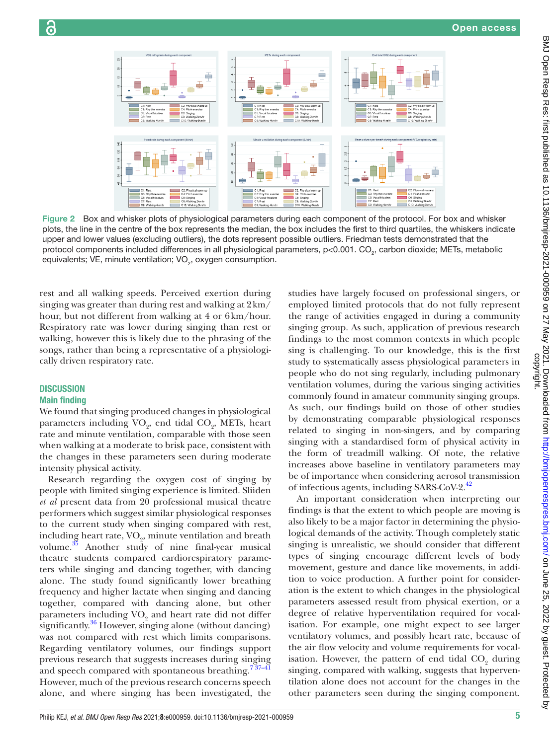

Figure 2 Box and whisker plots of physiological parameters during each component of the protocol. For box and whisker plots, the line in the centre of the box represents the median, the box includes the first to third quartiles, the whiskers indicate upper and lower values (excluding outliers), the dots represent possible outliers. Friedman tests demonstrated that the protocol components included differences in all physiological parameters, p<0.001. CO<sub>2</sub>, carbon dioxide; METs, metabolic equivalents; VE, minute ventilation; VO<sub>2</sub>, oxygen consumption.

rest and all walking speeds. Perceived exertion during singing was greater than during rest and walking at 2km/ hour, but not different from walking at 4 or 6km/hour. Respiratory rate was lower during singing than rest or walking, however this is likely due to the phrasing of the songs, rather than being a representative of a physiologically driven respiratory rate.

# **DISCUSSION**

# Main finding

We found that singing produced changes in physiological parameters including  $\mathrm{VO}_2$ , end tidal  $\mathrm{CO}_2$ , METs, heart rate and minute ventilation, comparable with those seen when walking at a moderate to brisk pace, consistent with the changes in these parameters seen during moderate intensity physical activity.

Research regarding the oxygen cost of singing by people with limited singing experience is limited. Sliiden *et al* present data from 20 professional musical theatre performers which suggest similar physiological responses to the current study when singing compared with rest, including heart rate,  $\rm VO_{2}$ , minute ventilation and breath volume.<sup>[35](#page-6-20)</sup> Another study of nine final-year musical theatre students compared cardiorespiratory parameters while singing and dancing together, with dancing alone. The study found significantly lower breathing frequency and higher lactate when singing and dancing together, compared with dancing alone, but other parameters including  $VO<sub>2</sub>$  and heart rate did not differ significantly.<sup>36</sup> However, singing alone (without dancing) was not compared with rest which limits comparisons. Regarding ventilatory volumes, our findings support previous research that suggests increases during singing and speech compared with spontaneous breathing.<sup>737-41</sup> However, much of the previous research concerns speech alone, and where singing has been investigated, the

<span id="page-4-0"></span>studies have largely focused on professional singers, or employed limited protocols that do not fully represent the range of activities engaged in during a community singing group. As such, application of previous research findings to the most common contexts in which people sing is challenging. To our knowledge, this is the first study to systematically assess physiological parameters in people who do not sing regularly, including pulmonary ventilation volumes, during the various singing activities commonly found in amateur community singing groups. As such, our findings build on those of other studies by demonstrating comparable physiological responses related to singing in non-singers, and by comparing singing with a standardised form of physical activity in the form of treadmill walking. Of note, the relative increases above baseline in ventilatory parameters may be of importance when considering aerosol transmission of infectious agents, including SARS-CoV-2.<sup>42</sup>

An important consideration when interpreting our findings is that the extent to which people are moving is also likely to be a major factor in determining the physiological demands of the activity. Though completely static singing is unrealistic, we should consider that different types of singing encourage different levels of body movement, gesture and dance like movements, in addition to voice production. A further point for consideration is the extent to which changes in the physiological parameters assessed result from physical exertion, or a degree of relative hyperventilation required for vocalisation. For example, one might expect to see larger ventilatory volumes, and possibly heart rate, because of the air flow velocity and volume requirements for vocalisation. However, the pattern of end tidal  $\mathrm{CO}_2$  during singing, compared with walking, suggests that hyperventilation alone does not account for the changes in the other parameters seen during the singing component.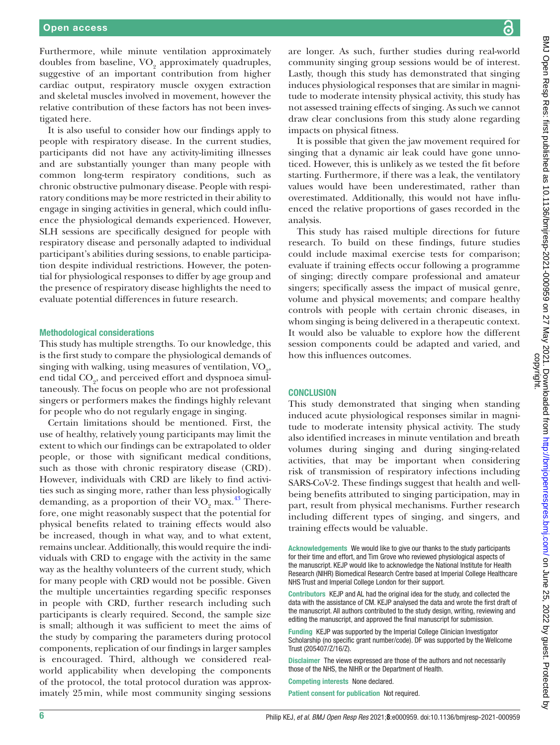Furthermore, while minute ventilation approximately doubles from baseline,  $\rm VO_{2}$  approximately quadruples, suggestive of an important contribution from higher cardiac output, respiratory muscle oxygen extraction and skeletal muscles involved in movement, however the relative contribution of these factors has not been investigated here.

It is also useful to consider how our findings apply to people with respiratory disease. In the current studies, participants did not have any activity-limiting illnesses and are substantially younger than many people with common long-term respiratory conditions, such as chronic obstructive pulmonary disease. People with respiratory conditions may be more restricted in their ability to engage in singing activities in general, which could influence the physiological demands experienced. However, SLH sessions are specifically designed for people with respiratory disease and personally adapted to individual participant's abilities during sessions, to enable participation despite individual restrictions. However, the potential for physiological responses to differ by age group and the presence of respiratory disease highlights the need to evaluate potential differences in future research.

#### Methodological considerations

This study has multiple strengths. To our knowledge, this is the first study to compare the physiological demands of singing with walking, using measures of ventilation,  $\mathrm{VO}_2$ , end tidal  $\mathrm{CO}_2$ , and perceived effort and dyspnoea simultaneously. The focus on people who are not professional singers or performers makes the findings highly relevant for people who do not regularly engage in singing.

Certain limitations should be mentioned. First, the use of healthy, relatively young participants may limit the extent to which our findings can be extrapolated to older people, or those with significant medical conditions, such as those with chronic respiratory disease (CRD). However, individuals with CRD are likely to find activities such as singing more, rather than less physiologically demanding, as a proportion of their  $\rm VO_{2}$  max.<sup>43</sup> Therefore, one might reasonably suspect that the potential for physical benefits related to training effects would also be increased, though in what way, and to what extent, remains unclear. Additionally, this would require the individuals with CRD to engage with the activity in the same way as the healthy volunteers of the current study, which for many people with CRD would not be possible. Given the multiple uncertainties regarding specific responses in people with CRD, further research including such participants is clearly required. Second, the sample size is small; although it was sufficient to meet the aims of the study by comparing the parameters during protocol components, replication of our findings in larger samples is encouraged. Third, although we considered realworld applicability when developing the components of the protocol, the total protocol duration was approximately 25min, while most community singing sessions

are longer. As such, further studies during real-world community singing group sessions would be of interest. Lastly, though this study has demonstrated that singing induces physiological responses that are similar in magnitude to moderate intensity physical activity, this study has not assessed training effects of singing. As such we cannot draw clear conclusions from this study alone regarding impacts on physical fitness.

It is possible that given the jaw movement required for singing that a dynamic air leak could have gone unnoticed. However, this is unlikely as we tested the fit before starting. Furthermore, if there was a leak, the ventilatory values would have been underestimated, rather than overestimated. Additionally, this would not have influenced the relative proportions of gases recorded in the analysis.

This study has raised multiple directions for future research. To build on these findings, future studies could include maximal exercise tests for comparison; evaluate if training effects occur following a programme of singing; directly compare professional and amateur singers; specifically assess the impact of musical genre, volume and physical movements; and compare healthy controls with people with certain chronic diseases, in whom singing is being delivered in a therapeutic context. It would also be valuable to explore how the different session components could be adapted and varied, and how this influences outcomes.

#### **CONCLUSION**

This study demonstrated that singing when standing induced acute physiological responses similar in magnitude to moderate intensity physical activity. The study also identified increases in minute ventilation and breath volumes during singing and during singing-related activities, that may be important when considering risk of transmission of respiratory infections including SARS-CoV-2. These findings suggest that health and wellbeing benefits attributed to singing participation, may in part, result from physical mechanisms. Further research including different types of singing, and singers, and training effects would be valuable.

Acknowledgements We would like to give our thanks to the study participants for their time and effort, and Tim Grove who reviewed physiological aspects of the manuscript. KEJP would like to acknowledge the National Institute for Health Research (NIHR) Biomedical Research Centre based at Imperial College Healthcare NHS Trust and Imperial College London for their support.

Contributors KEJP and AL had the original idea for the study, and collected the data with the assistance of CM. KEJP analysed the data and wrote the first draft of the manuscript. All authors contributed to the study design, writing, reviewing and editing the manuscript, and approved the final manuscript for submission.

Funding KEJP was supported by the Imperial College Clinician Investigator Scholarship (no specific grant number/code). DF was supported by the Wellcome Trust (205407/Z/16/Z).

Disclaimer The views expressed are those of the authors and not necessarily those of the NHS, the NIHR or the Department of Health.

Competing interests None declared.

Patient consent for publication Not required.